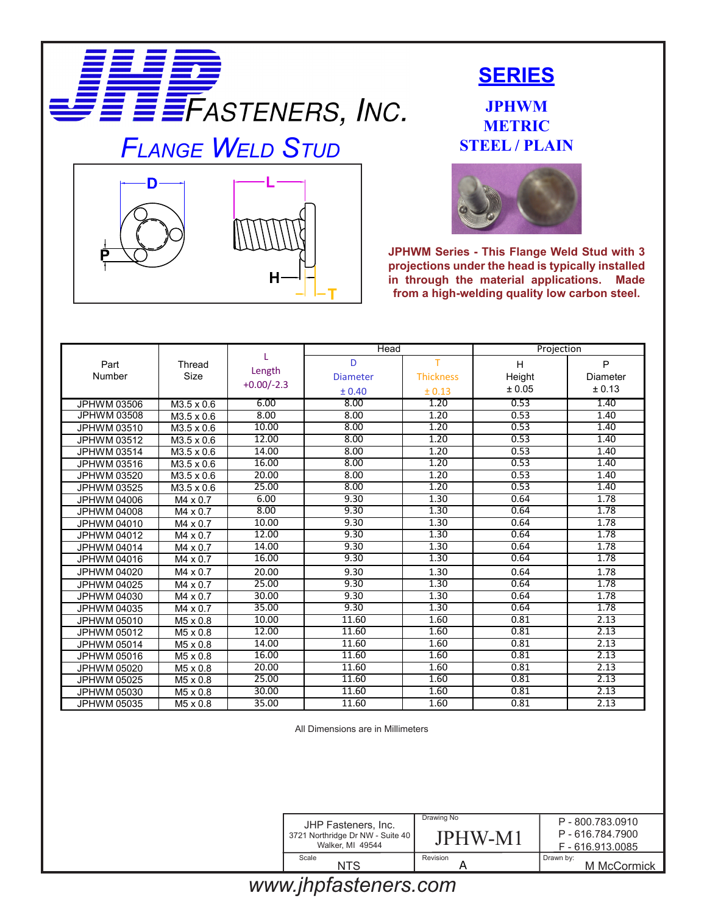

# *Flange Weld Stud*



#### **SERIES**

**JPHWM METRIC STEEL / PLAIN**



**JPHWM Series - This Flange Weld Stud with 3 projections under the head is typically installed in through the material applications. Made from a high-welding quality low carbon steel.**

|                    |                   |              | Head            |                  | Projection |          |
|--------------------|-------------------|--------------|-----------------|------------------|------------|----------|
| Part               | Thread            |              | D               | т                | H          | P        |
| Number             | Size              | Length       | <b>Diameter</b> | <b>Thickness</b> | Height     | Diameter |
|                    |                   | $+0.00/-2.3$ | ± 0.40          | ± 0.13           | ± 0.05     | ± 0.13   |
| JPHWM 03506        | M3.5 x 0.6        | 6.00         | 8.00            | 1.20             | 0.53       | 1.40     |
| <b>JPHWM 03508</b> | $M3.5 \times 0.6$ | 8.00         | 8.00            | 1.20             | 0.53       | 1.40     |
| JPHWM 03510        | $M3.5 \times 0.6$ | 10.00        | 8.00            | 1.20             | 0.53       | 1.40     |
| JPHWM 03512        | M3.5 x 0.6        | 12.00        | 8.00            | 1.20             | 0.53       | 1.40     |
| JPHWM 03514        | $M3.5 \times 0.6$ | 14.00        | 8.00            | 1.20             | 0.53       | 1.40     |
| JPHWM 03516        | $M3.5 \times 0.6$ | 16.00        | 8.00            | 1.20             | 0.53       | 1.40     |
| JPHWM 03520        | M3.5 x 0.6        | 20.00        | 8.00            | 1.20             | 0.53       | 1.40     |
| JPHWM 03525        | M3.5 x 0.6        | 25.00        | 8.00            | 1.20             | 0.53       | 1.40     |
| JPHWM 04006        | M4 x 0.7          | 6.00         | 9.30            | 1.30             | 0.64       | 1.78     |
| JPHWM 04008        | M4 x 0.7          | 8.00         | 9.30            | 1.30             | 0.64       | 1.78     |
| JPHWM 04010        | M4 x 0.7          | 10.00        | 9.30            | 1.30             | 0.64       | 1.78     |
| JPHWM 04012        | M4 x 0.7          | 12.00        | 9.30            | 1.30             | 0.64       | 1.78     |
| JPHWM 04014        | M4 x 0.7          | 14.00        | 9.30            | 1.30             | 0.64       | 1.78     |
| JPHWM 04016        | M4 x 0.7          | 16.00        | 9.30            | 1.30             | 0.64       | 1.78     |
| JPHWM 04020        | M4 x 0.7          | 20.00        | 9.30            | 1.30             | 0.64       | 1.78     |
| JPHWM 04025        | M4 x 0.7          | 25.00        | 9.30            | 1.30             | 0.64       | 1.78     |
| JPHWM 04030        | M4 x 0.7          | 30.00        | 9.30            | 1.30             | 0.64       | 1.78     |
| JPHWM 04035        | M4 x 0.7          | 35.00        | 9.30            | 1.30             | 0.64       | 1.78     |
| JPHWM 05010        | M5 x 0.8          | 10.00        | 11.60           | 1.60             | 0.81       | 2.13     |
| JPHWM 05012        | M5 x 0.8          | 12.00        | 11.60           | 1.60             | 0.81       | 2.13     |
| JPHWM 05014        | M5 x 0.8          | 14.00        | 11.60           | 1.60             | 0.81       | 2.13     |
| JPHWM 05016        | M5 x 0.8          | 16.00        | 11.60           | 1.60             | 0.81       | 2.13     |
| JPHWM 05020        | M5 x 0.8          | 20.00        | 11.60           | 1.60             | 0.81       | 2.13     |
| JPHWM 05025        | M5 x 0.8          | 25.00        | 11.60           | 1.60             | 0.81       | 2.13     |
| JPHWM 05030        | $M5 \times 0.8$   | 30.00        | 11.60           | 1.60             | 0.81       | 2.13     |
| JPHWM 05035        | M5 x 0.8          | 35.00        | 11.60           | 1.60             | 0.81       | 2.13     |

All Dimensions are in Millimeters

| JHP Fasteners, Inc.<br>3721 Northridge Dr NW - Suite 40<br>Walker, MI 49544 | Drawing No<br>JPHW-M1 | P - 800.783.0910<br>P-616.784.7900<br>F-616.913.0085 |  |  |
|-----------------------------------------------------------------------------|-----------------------|------------------------------------------------------|--|--|
| Scale<br>NTS                                                                | Revision              | Drawn by:<br>M McCormick                             |  |  |

## *www.jhpfasteners.com*